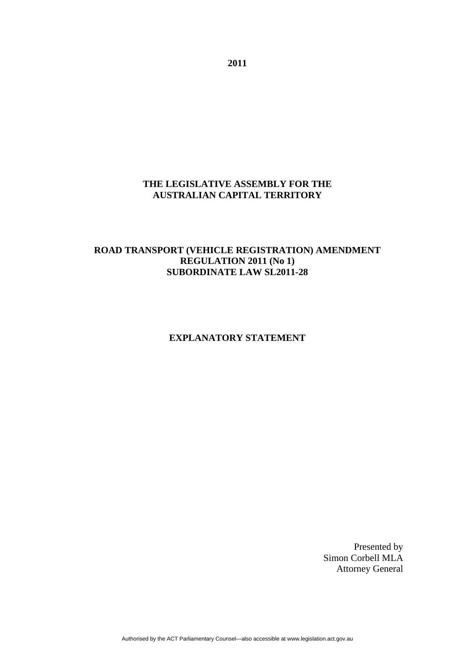## **THE LEGISLATIVE ASSEMBLY FOR THE AUSTRALIAN CAPITAL TERRITORY**

## **ROAD TRANSPORT (VEHICLE REGISTRATION) AMENDMENT REGULATION 2011 (No 1) SUBORDINATE LAW SL2011-28**

### **EXPLANATORY STATEMENT**

Presented by Simon Corbell MLA Attorney General

**2011**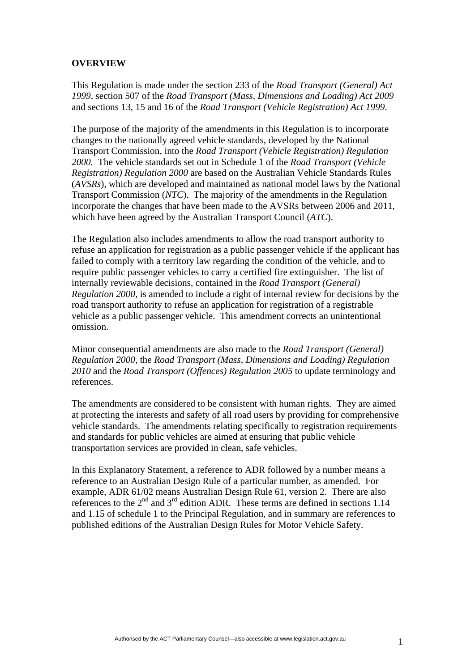## **OVERVIEW**

This Regulation is made under the section 233 of the *Road Transport (General) Act 1999*, section 507 of the *Road Transport (Mass, Dimensions and Loading) Act 2009*  and sections 13, 15 and 16 of the *Road Transport (Vehicle Registration) Act 1999*.

The purpose of the majority of the amendments in this Regulation is to incorporate changes to the nationally agreed vehicle standards, developed by the National Transport Commission, into the *Road Transport (Vehicle Registration) Regulation 2000.* The vehicle standards set out in Schedule 1 of the *Road Transport (Vehicle Registration) Regulation 2000* are based on the Australian Vehicle Standards Rules (*AVSRs*), which are developed and maintained as national model laws by the National Transport Commission (*NTC*). The majority of the amendments in the Regulation incorporate the changes that have been made to the AVSRs between 2006 and 2011, which have been agreed by the Australian Transport Council (*ATC*).

The Regulation also includes amendments to allow the road transport authority to refuse an application for registration as a public passenger vehicle if the applicant has failed to comply with a territory law regarding the condition of the vehicle, and to require public passenger vehicles to carry a certified fire extinguisher. The list of internally reviewable decisions, contained in the *Road Transport (General) Regulation 2000,* is amended to include a right of internal review for decisions by the road transport authority to refuse an application for registration of a registrable vehicle as a public passenger vehicle. This amendment corrects an unintentional omission.

Minor consequential amendments are also made to the *Road Transport (General) Regulation 2000*, the *Road Transport (Mass, Dimensions and Loading) Regulation 2010* and the *Road Transport (Offences) Regulation 2005* to update terminology and references.

The amendments are considered to be consistent with human rights. They are aimed at protecting the interests and safety of all road users by providing for comprehensive vehicle standards. The amendments relating specifically to registration requirements and standards for public vehicles are aimed at ensuring that public vehicle transportation services are provided in clean, safe vehicles.

In this Explanatory Statement, a reference to ADR followed by a number means a reference to an Australian Design Rule of a particular number, as amended. For example, ADR 61/02 means Australian Design Rule 61, version 2. There are also references to the  $2<sup>nd</sup>$  and  $3<sup>rd</sup>$  edition ADR. These terms are defined in sections 1.14 and 1.15 of schedule 1 to the Principal Regulation, and in summary are references to published editions of the Australian Design Rules for Motor Vehicle Safety.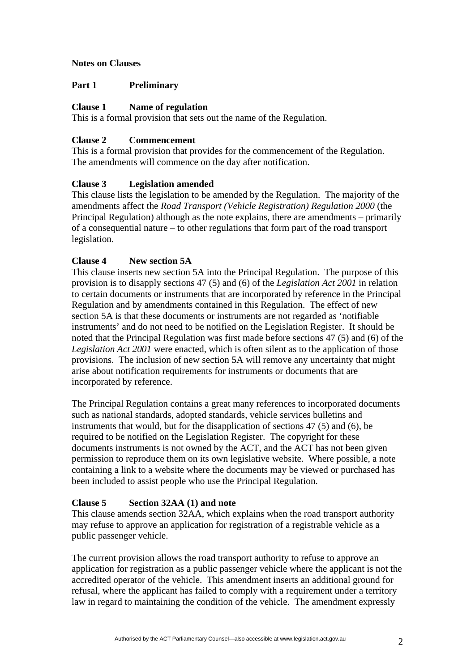## **Notes on Clauses**

## **Part 1 Preliminary**

## **Clause 1 Name of regulation**

This is a formal provision that sets out the name of the Regulation.

## **Clause 2 Commencement**

This is a formal provision that provides for the commencement of the Regulation. The amendments will commence on the day after notification.

# **Clause 3 Legislation amended**

This clause lists the legislation to be amended by the Regulation. The majority of the amendments affect the *Road Transport (Vehicle Registration) Regulation 2000* (the Principal Regulation) although as the note explains, there are amendments – primarily of a consequential nature – to other regulations that form part of the road transport legislation.

# **Clause 4 New section 5A**

This clause inserts new section 5A into the Principal Regulation. The purpose of this provision is to disapply sections 47 (5) and (6) of the *Legislation Act 2001* in relation to certain documents or instruments that are incorporated by reference in the Principal Regulation and by amendments contained in this Regulation. The effect of new section 5A is that these documents or instruments are not regarded as 'notifiable instruments' and do not need to be notified on the Legislation Register. It should be noted that the Principal Regulation was first made before sections 47 (5) and (6) of the *Legislation Act 2001* were enacted, which is often silent as to the application of those provisions. The inclusion of new section 5A will remove any uncertainty that might arise about notification requirements for instruments or documents that are incorporated by reference.

The Principal Regulation contains a great many references to incorporated documents such as national standards, adopted standards, vehicle services bulletins and instruments that would, but for the disapplication of sections 47 (5) and (6), be required to be notified on the Legislation Register. The copyright for these documents instruments is not owned by the ACT, and the ACT has not been given permission to reproduce them on its own legislative website. Where possible, a note containing a link to a website where the documents may be viewed or purchased has been included to assist people who use the Principal Regulation.

# **Clause 5 Section 32AA (1) and note**

This clause amends section 32AA, which explains when the road transport authority may refuse to approve an application for registration of a registrable vehicle as a public passenger vehicle.

The current provision allows the road transport authority to refuse to approve an application for registration as a public passenger vehicle where the applicant is not the accredited operator of the vehicle. This amendment inserts an additional ground for refusal, where the applicant has failed to comply with a requirement under a territory law in regard to maintaining the condition of the vehicle. The amendment expressly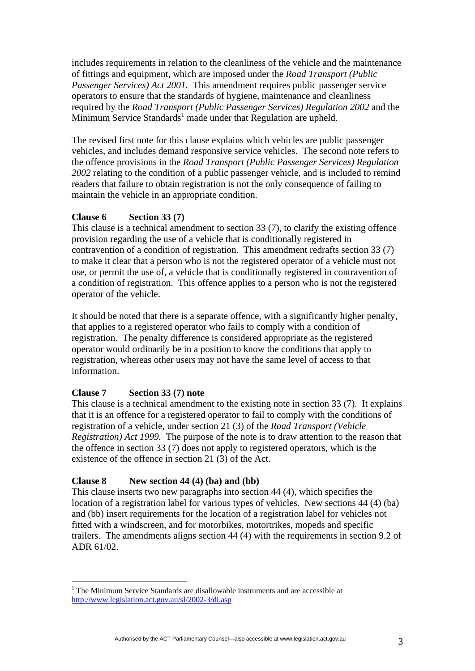includes requirements in relation to the cleanliness of the vehicle and the maintenance of fittings and equipment, which are imposed under the *Road Transport (Public Passenger Services) Act 2001*. This amendment requires public passenger service operators to ensure that the standards of hygiene, maintenance and cleanliness required by the *Road Transport (Public Passenger Services) Regulation 2002* and the Minimum Service Standards<sup>1</sup> made under that Regulation are upheld.

The revised first note for this clause explains which vehicles are public passenger vehicles, and includes demand responsive service vehicles. The second note refers to the offence provisions in the *Road Transport (Public Passenger Services) Regulation 2002* relating to the condition of a public passenger vehicle, and is included to remind readers that failure to obtain registration is not the only consequence of failing to maintain the vehicle in an appropriate condition.

## **Clause 6 Section 33 (7)**

This clause is a technical amendment to section 33 (7), to clarify the existing offence provision regarding the use of a vehicle that is conditionally registered in contravention of a condition of registration. This amendment redrafts section 33 (7) to make it clear that a person who is not the registered operator of a vehicle must not use, or permit the use of, a vehicle that is conditionally registered in contravention of a condition of registration. This offence applies to a person who is not the registered operator of the vehicle.

It should be noted that there is a separate offence, with a significantly higher penalty, that applies to a registered operator who fails to comply with a condition of registration. The penalty difference is considered appropriate as the registered operator would ordinarily be in a position to know the conditions that apply to registration, whereas other users may not have the same level of access to that information.

# **Clause 7 Section 33 (7) note**

 $\overline{a}$ 

This clause is a technical amendment to the existing note in section 33 (7). It explains that it is an offence for a registered operator to fail to comply with the conditions of registration of a vehicle, under section 21 (3) of the *Road Transport (Vehicle Registration) Act 1999.* The purpose of the note is to draw attention to the reason that the offence in section 33 (7) does not apply to registered operators, which is the existence of the offence in section 21 (3) of the Act.

# **Clause 8 New section 44 (4) (ba) and (bb)**

This clause inserts two new paragraphs into section 44 (4), which specifies the location of a registration label for various types of vehicles. New sections 44 (4) (ba) and (bb) insert requirements for the location of a registration label for vehicles not fitted with a windscreen, and for motorbikes, motortrikes, mopeds and specific trailers. The amendments aligns section 44 (4) with the requirements in section 9.2 of ADR 61/02.

<sup>&</sup>lt;sup>1</sup> The Minimum Service Standards are disallowable instruments and are accessible at http://www.legislation.act.gov.au/sl/2002-3/di.asp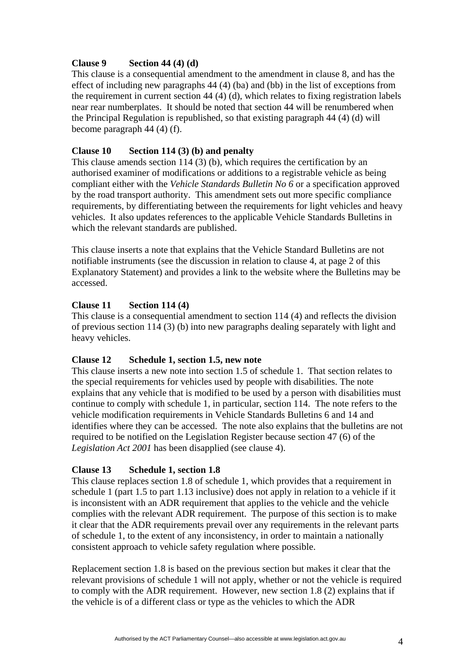## **Clause 9 Section 44 (4) (d)**

This clause is a consequential amendment to the amendment in clause 8, and has the effect of including new paragraphs 44 (4) (ba) and (bb) in the list of exceptions from the requirement in current section 44 (4) (d), which relates to fixing registration labels near rear numberplates. It should be noted that section 44 will be renumbered when the Principal Regulation is republished, so that existing paragraph 44 (4) (d) will become paragraph 44 (4) (f).

## **Clause 10 Section 114 (3) (b) and penalty**

This clause amends section 114 (3) (b), which requires the certification by an authorised examiner of modifications or additions to a registrable vehicle as being compliant either with the *Vehicle Standards Bulletin No 6* or a specification approved by the road transport authority. This amendment sets out more specific compliance requirements, by differentiating between the requirements for light vehicles and heavy vehicles. It also updates references to the applicable Vehicle Standards Bulletins in which the relevant standards are published.

This clause inserts a note that explains that the Vehicle Standard Bulletins are not notifiable instruments (see the discussion in relation to clause 4, at page 2 of this Explanatory Statement) and provides a link to the website where the Bulletins may be accessed.

# **Clause 11 Section 114 (4)**

This clause is a consequential amendment to section 114 (4) and reflects the division of previous section 114 (3) (b) into new paragraphs dealing separately with light and heavy vehicles.

### **Clause 12 Schedule 1, section 1.5, new note**

This clause inserts a new note into section 1.5 of schedule 1. That section relates to the special requirements for vehicles used by people with disabilities. The note explains that any vehicle that is modified to be used by a person with disabilities must continue to comply with schedule 1, in particular, section 114. The note refers to the vehicle modification requirements in Vehicle Standards Bulletins 6 and 14 and identifies where they can be accessed. The note also explains that the bulletins are not required to be notified on the Legislation Register because section 47 (6) of the *Legislation Act 2001* has been disapplied (see clause 4).

# **Clause 13 Schedule 1, section 1.8**

This clause replaces section 1.8 of schedule 1, which provides that a requirement in schedule 1 (part 1.5 to part 1.13 inclusive) does not apply in relation to a vehicle if it is inconsistent with an ADR requirement that applies to the vehicle and the vehicle complies with the relevant ADR requirement. The purpose of this section is to make it clear that the ADR requirements prevail over any requirements in the relevant parts of schedule 1, to the extent of any inconsistency, in order to maintain a nationally consistent approach to vehicle safety regulation where possible.

Replacement section 1.8 is based on the previous section but makes it clear that the relevant provisions of schedule 1 will not apply, whether or not the vehicle is required to comply with the ADR requirement. However, new section 1.8 (2) explains that if the vehicle is of a different class or type as the vehicles to which the ADR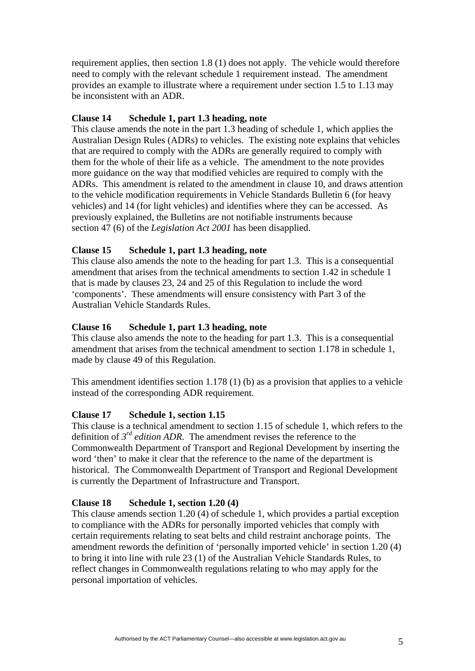requirement applies, then section 1.8 (1) does not apply. The vehicle would therefore need to comply with the relevant schedule 1 requirement instead. The amendment provides an example to illustrate where a requirement under section 1.5 to 1.13 may be inconsistent with an ADR.

### **Clause 14 Schedule 1, part 1.3 heading, note**

This clause amends the note in the part 1.3 heading of schedule 1, which applies the Australian Design Rules (ADRs) to vehicles. The existing note explains that vehicles that are required to comply with the ADRs are generally required to comply with them for the whole of their life as a vehicle. The amendment to the note provides more guidance on the way that modified vehicles are required to comply with the ADRs. This amendment is related to the amendment in clause 10, and draws attention to the vehicle modification requirements in Vehicle Standards Bulletin 6 (for heavy vehicles) and 14 (for light vehicles) and identifies where they can be accessed. As previously explained, the Bulletins are not notifiable instruments because section 47 (6) of the *Legislation Act 2001* has been disapplied.

## **Clause 15 Schedule 1, part 1.3 heading, note**

This clause also amends the note to the heading for part 1.3. This is a consequential amendment that arises from the technical amendments to section 1.42 in schedule 1 that is made by clauses 23, 24 and 25 of this Regulation to include the word 'components'. These amendments will ensure consistency with Part 3 of the Australian Vehicle Standards Rules.

## **Clause 16 Schedule 1, part 1.3 heading, note**

This clause also amends the note to the heading for part 1.3. This is a consequential amendment that arises from the technical amendment to section 1.178 in schedule 1, made by clause 49 of this Regulation.

This amendment identifies section 1.178 (1) (b) as a provision that applies to a vehicle instead of the corresponding ADR requirement.

### **Clause 17 Schedule 1, section 1.15**

This clause is a technical amendment to section 1.15 of schedule 1, which refers to the definition of *3rd edition ADR*. The amendment revises the reference to the Commonwealth Department of Transport and Regional Development by inserting the word 'then' to make it clear that the reference to the name of the department is historical. The Commonwealth Department of Transport and Regional Development is currently the Department of Infrastructure and Transport.

### **Clause 18 Schedule 1, section 1.20 (4)**

This clause amends section 1.20 (4) of schedule 1, which provides a partial exception to compliance with the ADRs for personally imported vehicles that comply with certain requirements relating to seat belts and child restraint anchorage points. The amendment rewords the definition of 'personally imported vehicle' in section 1.20 (4) to bring it into line with rule 23 (1) of the Australian Vehicle Standards Rules, to reflect changes in Commonwealth regulations relating to who may apply for the personal importation of vehicles.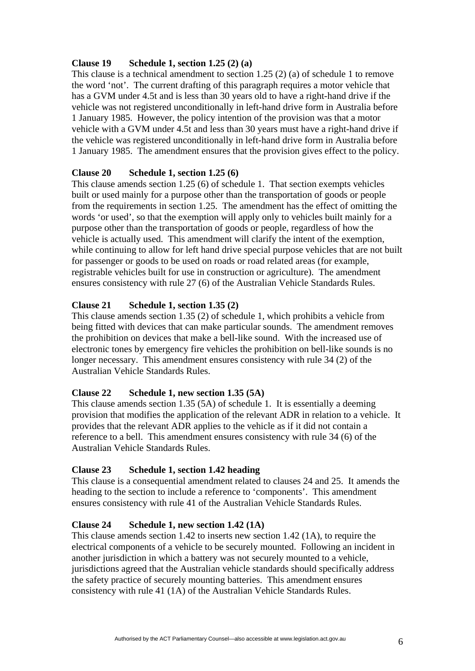# **Clause 19 Schedule 1, section 1.25 (2) (a)**

This clause is a technical amendment to section 1.25 (2) (a) of schedule 1 to remove the word 'not'. The current drafting of this paragraph requires a motor vehicle that has a GVM under 4.5t and is less than 30 years old to have a right-hand drive if the vehicle was not registered unconditionally in left-hand drive form in Australia before 1 January 1985. However, the policy intention of the provision was that a motor vehicle with a GVM under 4.5t and less than 30 years must have a right-hand drive if the vehicle was registered unconditionally in left-hand drive form in Australia before 1 January 1985. The amendment ensures that the provision gives effect to the policy.

# **Clause 20 Schedule 1, section 1.25 (6)**

This clause amends section 1.25 (6) of schedule 1. That section exempts vehicles built or used mainly for a purpose other than the transportation of goods or people from the requirements in section 1.25. The amendment has the effect of omitting the words 'or used', so that the exemption will apply only to vehicles built mainly for a purpose other than the transportation of goods or people, regardless of how the vehicle is actually used. This amendment will clarify the intent of the exemption, while continuing to allow for left hand drive special purpose vehicles that are not built for passenger or goods to be used on roads or road related areas (for example, registrable vehicles built for use in construction or agriculture). The amendment ensures consistency with rule 27 (6) of the Australian Vehicle Standards Rules.

# **Clause 21 Schedule 1, section 1.35 (2)**

This clause amends section 1.35 (2) of schedule 1, which prohibits a vehicle from being fitted with devices that can make particular sounds. The amendment removes the prohibition on devices that make a bell-like sound. With the increased use of electronic tones by emergency fire vehicles the prohibition on bell-like sounds is no longer necessary. This amendment ensures consistency with rule 34 (2) of the Australian Vehicle Standards Rules.

# **Clause 22 Schedule 1, new section 1.35 (5A)**

This clause amends section 1.35 (5A) of schedule 1. It is essentially a deeming provision that modifies the application of the relevant ADR in relation to a vehicle. It provides that the relevant ADR applies to the vehicle as if it did not contain a reference to a bell. This amendment ensures consistency with rule 34 (6) of the Australian Vehicle Standards Rules.

# **Clause 23 Schedule 1, section 1.42 heading**

This clause is a consequential amendment related to clauses 24 and 25. It amends the heading to the section to include a reference to 'components'. This amendment ensures consistency with rule 41 of the Australian Vehicle Standards Rules.

# **Clause 24 Schedule 1, new section 1.42 (1A)**

This clause amends section 1.42 to inserts new section 1.42 (1A), to require the electrical components of a vehicle to be securely mounted. Following an incident in another jurisdiction in which a battery was not securely mounted to a vehicle, jurisdictions agreed that the Australian vehicle standards should specifically address the safety practice of securely mounting batteries. This amendment ensures consistency with rule 41 (1A) of the Australian Vehicle Standards Rules.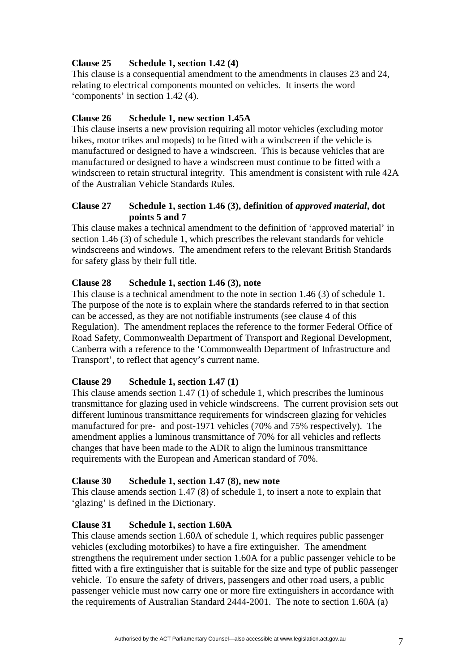# **Clause 25 Schedule 1, section 1.42 (4)**

This clause is a consequential amendment to the amendments in clauses 23 and 24, relating to electrical components mounted on vehicles. It inserts the word 'components' in section 1.42 (4).

# **Clause 26 Schedule 1, new section 1.45A**

This clause inserts a new provision requiring all motor vehicles (excluding motor bikes, motor trikes and mopeds) to be fitted with a windscreen if the vehicle is manufactured or designed to have a windscreen. This is because vehicles that are manufactured or designed to have a windscreen must continue to be fitted with a windscreen to retain structural integrity. This amendment is consistent with rule 42A of the Australian Vehicle Standards Rules.

# **Clause 27 Schedule 1, section 1.46 (3), definition of** *approved material***, dot points 5 and 7**

This clause makes a technical amendment to the definition of 'approved material' in section 1.46 (3) of schedule 1, which prescribes the relevant standards for vehicle windscreens and windows. The amendment refers to the relevant British Standards for safety glass by their full title.

# **Clause 28 Schedule 1, section 1.46 (3), note**

This clause is a technical amendment to the note in section 1.46 (3) of schedule 1. The purpose of the note is to explain where the standards referred to in that section can be accessed, as they are not notifiable instruments (see clause 4 of this Regulation). The amendment replaces the reference to the former Federal Office of Road Safety, Commonwealth Department of Transport and Regional Development, Canberra with a reference to the 'Commonwealth Department of Infrastructure and Transport', to reflect that agency's current name.

# **Clause 29 Schedule 1, section 1.47 (1)**

This clause amends section 1.47 (1) of schedule 1, which prescribes the luminous transmittance for glazing used in vehicle windscreens. The current provision sets out different luminous transmittance requirements for windscreen glazing for vehicles manufactured for pre- and post-1971 vehicles (70% and 75% respectively). The amendment applies a luminous transmittance of 70% for all vehicles and reflects changes that have been made to the ADR to align the luminous transmittance requirements with the European and American standard of 70%.

# **Clause 30 Schedule 1, section 1.47 (8), new note**

This clause amends section 1.47 (8) of schedule 1, to insert a note to explain that 'glazing' is defined in the Dictionary.

# **Clause 31 Schedule 1, section 1.60A**

This clause amends section 1.60A of schedule 1, which requires public passenger vehicles (excluding motorbikes) to have a fire extinguisher. The amendment strengthens the requirement under section 1.60A for a public passenger vehicle to be fitted with a fire extinguisher that is suitable for the size and type of public passenger vehicle. To ensure the safety of drivers, passengers and other road users, a public passenger vehicle must now carry one or more fire extinguishers in accordance with the requirements of Australian Standard 2444-2001. The note to section 1.60A (a)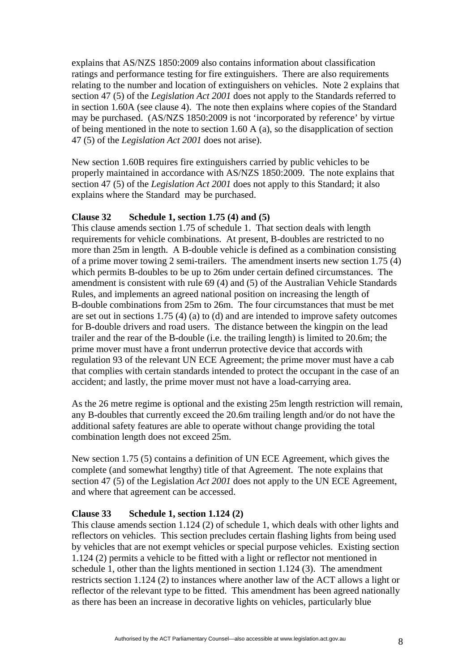explains that AS/NZS 1850:2009 also contains information about classification ratings and performance testing for fire extinguishers. There are also requirements relating to the number and location of extinguishers on vehicles. Note 2 explains that section 47 (5) of the *Legislation Act 2001* does not apply to the Standards referred to in section 1.60A (see clause 4). The note then explains where copies of the Standard may be purchased. (AS/NZS 1850:2009 is not 'incorporated by reference' by virtue of being mentioned in the note to section 1.60 A (a), so the disapplication of section 47 (5) of the *Legislation Act 2001* does not arise).

New section 1.60B requires fire extinguishers carried by public vehicles to be properly maintained in accordance with AS/NZS 1850:2009. The note explains that section 47 (5) of the *Legislation Act 2001* does not apply to this Standard; it also explains where the Standard may be purchased.

#### **Clause 32 Schedule 1, section 1.75 (4) and (5)**

This clause amends section 1.75 of schedule 1. That section deals with length requirements for vehicle combinations. At present, B-doubles are restricted to no more than 25m in length. A B-double vehicle is defined as a combination consisting of a prime mover towing 2 semi-trailers. The amendment inserts new section 1.75 (4) which permits B-doubles to be up to 26m under certain defined circumstances. The amendment is consistent with rule 69 (4) and (5) of the Australian Vehicle Standards Rules, and implements an agreed national position on increasing the length of B-double combinations from 25m to 26m. The four circumstances that must be met are set out in sections 1.75 (4) (a) to (d) and are intended to improve safety outcomes for B-double drivers and road users. The distance between the kingpin on the lead trailer and the rear of the B-double (i.e. the trailing length) is limited to 20.6m; the prime mover must have a front underrun protective device that accords with regulation 93 of the relevant UN ECE Agreement; the prime mover must have a cab that complies with certain standards intended to protect the occupant in the case of an accident; and lastly, the prime mover must not have a load-carrying area.

As the 26 metre regime is optional and the existing 25m length restriction will remain, any B-doubles that currently exceed the 20.6m trailing length and/or do not have the additional safety features are able to operate without change providing the total combination length does not exceed 25m.

New section 1.75 (5) contains a definition of UN ECE Agreement, which gives the complete (and somewhat lengthy) title of that Agreement. The note explains that section 47 (5) of the Legislation *Act 2001* does not apply to the UN ECE Agreement, and where that agreement can be accessed.

#### **Clause 33 Schedule 1, section 1.124 (2)**

This clause amends section 1.124 (2) of schedule 1, which deals with other lights and reflectors on vehicles. This section precludes certain flashing lights from being used by vehicles that are not exempt vehicles or special purpose vehicles. Existing section 1.124 (2) permits a vehicle to be fitted with a light or reflector not mentioned in schedule 1, other than the lights mentioned in section 1.124 (3). The amendment restricts section 1.124 (2) to instances where another law of the ACT allows a light or reflector of the relevant type to be fitted. This amendment has been agreed nationally as there has been an increase in decorative lights on vehicles, particularly blue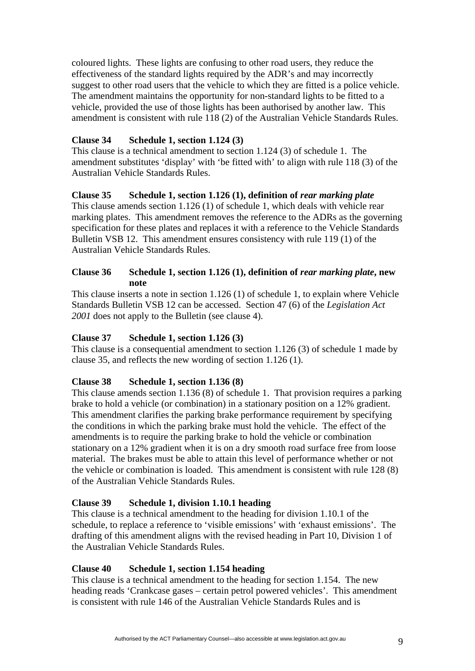coloured lights. These lights are confusing to other road users, they reduce the effectiveness of the standard lights required by the ADR's and may incorrectly suggest to other road users that the vehicle to which they are fitted is a police vehicle. The amendment maintains the opportunity for non-standard lights to be fitted to a vehicle, provided the use of those lights has been authorised by another law. This amendment is consistent with rule 118 (2) of the Australian Vehicle Standards Rules.

# **Clause 34 Schedule 1, section 1.124 (3)**

This clause is a technical amendment to section 1.124 (3) of schedule 1. The amendment substitutes 'display' with 'be fitted with' to align with rule 118 (3) of the Australian Vehicle Standards Rules.

# **Clause 35 Schedule 1, section 1.126 (1), definition of** *rear marking plate*

This clause amends section 1.126 (1) of schedule 1, which deals with vehicle rear marking plates. This amendment removes the reference to the ADRs as the governing specification for these plates and replaces it with a reference to the Vehicle Standards Bulletin VSB 12. This amendment ensures consistency with rule 119 (1) of the Australian Vehicle Standards Rules.

## **Clause 36 Schedule 1, section 1.126 (1), definition of** *rear marking plate***, new note**

This clause inserts a note in section 1.126 (1) of schedule 1, to explain where Vehicle Standards Bulletin VSB 12 can be accessed. Section 47 (6) of the *Legislation Act 2001* does not apply to the Bulletin (see clause 4).

# **Clause 37 Schedule 1, section 1.126 (3)**

This clause is a consequential amendment to section 1.126 (3) of schedule 1 made by clause 35, and reflects the new wording of section 1.126 (1).

# **Clause 38 Schedule 1, section 1.136 (8)**

This clause amends section 1.136 (8) of schedule 1. That provision requires a parking brake to hold a vehicle (or combination) in a stationary position on a 12% gradient. This amendment clarifies the parking brake performance requirement by specifying the conditions in which the parking brake must hold the vehicle. The effect of the amendments is to require the parking brake to hold the vehicle or combination stationary on a 12% gradient when it is on a dry smooth road surface free from loose material. The brakes must be able to attain this level of performance whether or not the vehicle or combination is loaded. This amendment is consistent with rule 128 (8) of the Australian Vehicle Standards Rules.

# **Clause 39 Schedule 1, division 1.10.1 heading**

This clause is a technical amendment to the heading for division 1.10.1 of the schedule, to replace a reference to 'visible emissions' with 'exhaust emissions'. The drafting of this amendment aligns with the revised heading in Part 10, Division 1 of the Australian Vehicle Standards Rules.

# **Clause 40 Schedule 1, section 1.154 heading**

This clause is a technical amendment to the heading for section 1.154. The new heading reads 'Crankcase gases – certain petrol powered vehicles'. This amendment is consistent with rule 146 of the Australian Vehicle Standards Rules and is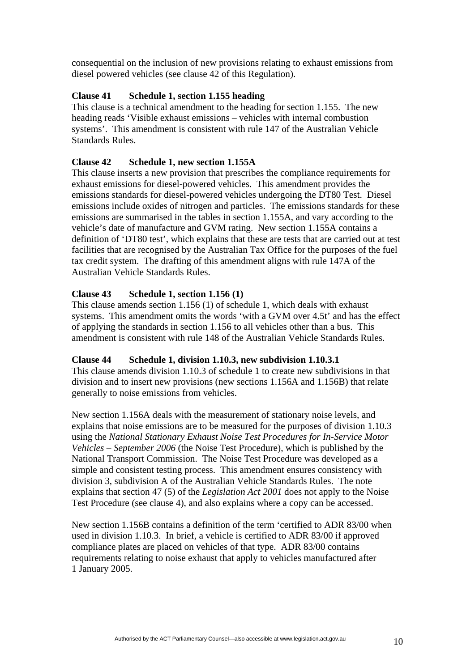consequential on the inclusion of new provisions relating to exhaust emissions from diesel powered vehicles (see clause 42 of this Regulation).

#### **Clause 41 Schedule 1, section 1.155 heading**

This clause is a technical amendment to the heading for section 1.155. The new heading reads 'Visible exhaust emissions – vehicles with internal combustion systems'. This amendment is consistent with rule 147 of the Australian Vehicle Standards Rules.

### **Clause 42 Schedule 1, new section 1.155A**

This clause inserts a new provision that prescribes the compliance requirements for exhaust emissions for diesel-powered vehicles. This amendment provides the emissions standards for diesel-powered vehicles undergoing the DT80 Test. Diesel emissions include oxides of nitrogen and particles. The emissions standards for these emissions are summarised in the tables in section 1.155A, and vary according to the vehicle's date of manufacture and GVM rating. New section 1.155A contains a definition of 'DT80 test', which explains that these are tests that are carried out at test facilities that are recognised by the Australian Tax Office for the purposes of the fuel tax credit system. The drafting of this amendment aligns with rule 147A of the Australian Vehicle Standards Rules.

#### **Clause 43 Schedule 1, section 1.156 (1)**

This clause amends section 1.156 (1) of schedule 1, which deals with exhaust systems. This amendment omits the words 'with a GVM over 4.5t' and has the effect of applying the standards in section 1.156 to all vehicles other than a bus. This amendment is consistent with rule 148 of the Australian Vehicle Standards Rules.

#### **Clause 44 Schedule 1, division 1.10.3, new subdivision 1.10.3.1**

This clause amends division 1.10.3 of schedule 1 to create new subdivisions in that division and to insert new provisions (new sections 1.156A and 1.156B) that relate generally to noise emissions from vehicles.

New section 1.156A deals with the measurement of stationary noise levels, and explains that noise emissions are to be measured for the purposes of division 1.10.3 using the *National Stationary Exhaust Noise Test Procedures for In-Service Motor Vehicles – September 2006* (the Noise Test Procedure), which is published by the National Transport Commission. The Noise Test Procedure was developed as a simple and consistent testing process. This amendment ensures consistency with division 3, subdivision A of the Australian Vehicle Standards Rules. The note explains that section 47 (5) of the *Legislation Act 2001* does not apply to the Noise Test Procedure (see clause 4), and also explains where a copy can be accessed.

New section 1.156B contains a definition of the term 'certified to ADR 83/00 when used in division 1.10.3. In brief, a vehicle is certified to ADR 83/00 if approved compliance plates are placed on vehicles of that type. ADR 83/00 contains requirements relating to noise exhaust that apply to vehicles manufactured after 1 January 2005.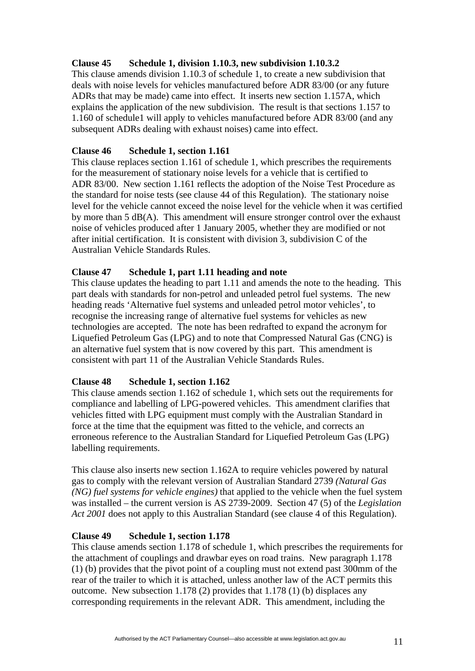# **Clause 45 Schedule 1, division 1.10.3, new subdivision 1.10.3.2**

This clause amends division 1.10.3 of schedule 1, to create a new subdivision that deals with noise levels for vehicles manufactured before ADR 83/00 (or any future ADRs that may be made) came into effect. It inserts new section 1.157A, which explains the application of the new subdivision. The result is that sections 1.157 to 1.160 of schedule1 will apply to vehicles manufactured before ADR 83/00 (and any subsequent ADRs dealing with exhaust noises) came into effect.

# **Clause 46 Schedule 1, section 1.161**

This clause replaces section 1.161 of schedule 1, which prescribes the requirements for the measurement of stationary noise levels for a vehicle that is certified to ADR 83/00. New section 1.161 reflects the adoption of the Noise Test Procedure as the standard for noise tests (see clause 44 of this Regulation). The stationary noise level for the vehicle cannot exceed the noise level for the vehicle when it was certified by more than 5 dB(A). This amendment will ensure stronger control over the exhaust noise of vehicles produced after 1 January 2005, whether they are modified or not after initial certification. It is consistent with division 3, subdivision C of the Australian Vehicle Standards Rules.

# **Clause 47 Schedule 1, part 1.11 heading and note**

This clause updates the heading to part 1.11 and amends the note to the heading. This part deals with standards for non-petrol and unleaded petrol fuel systems. The new heading reads 'Alternative fuel systems and unleaded petrol motor vehicles', to recognise the increasing range of alternative fuel systems for vehicles as new technologies are accepted. The note has been redrafted to expand the acronym for Liquefied Petroleum Gas (LPG) and to note that Compressed Natural Gas (CNG) is an alternative fuel system that is now covered by this part. This amendment is consistent with part 11 of the Australian Vehicle Standards Rules.

# **Clause 48 Schedule 1, section 1.162**

This clause amends section 1.162 of schedule 1, which sets out the requirements for compliance and labelling of LPG-powered vehicles. This amendment clarifies that vehicles fitted with LPG equipment must comply with the Australian Standard in force at the time that the equipment was fitted to the vehicle, and corrects an erroneous reference to the Australian Standard for Liquefied Petroleum Gas (LPG) labelling requirements.

This clause also inserts new section 1.162A to require vehicles powered by natural gas to comply with the relevant version of Australian Standard 2739 *(Natural Gas (NG) fuel systems for vehicle engines)* that applied to the vehicle when the fuel system was installed – the current version is AS 2739-2009. Section 47 (5) of the *Legislation Act 2001* does not apply to this Australian Standard (see clause 4 of this Regulation).

# **Clause 49 Schedule 1, section 1.178**

This clause amends section 1.178 of schedule 1, which prescribes the requirements for the attachment of couplings and drawbar eyes on road trains. New paragraph 1.178 (1) (b) provides that the pivot point of a coupling must not extend past 300mm of the rear of the trailer to which it is attached, unless another law of the ACT permits this outcome. New subsection 1.178 (2) provides that 1.178 (1) (b) displaces any corresponding requirements in the relevant ADR. This amendment, including the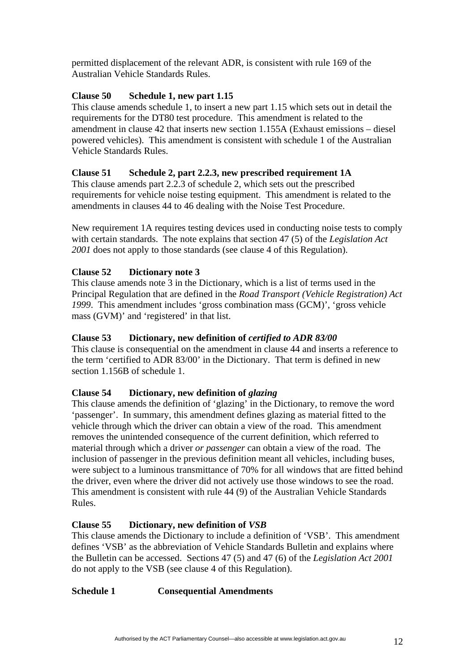permitted displacement of the relevant ADR, is consistent with rule 169 of the Australian Vehicle Standards Rules.

# **Clause 50 Schedule 1, new part 1.15**

This clause amends schedule 1, to insert a new part 1.15 which sets out in detail the requirements for the DT80 test procedure. This amendment is related to the amendment in clause 42 that inserts new section 1.155A (Exhaust emissions – diesel powered vehicles). This amendment is consistent with schedule 1 of the Australian Vehicle Standards Rules.

# **Clause 51 Schedule 2, part 2.2.3, new prescribed requirement 1A**

This clause amends part 2.2.3 of schedule 2, which sets out the prescribed requirements for vehicle noise testing equipment. This amendment is related to the amendments in clauses 44 to 46 dealing with the Noise Test Procedure.

New requirement 1A requires testing devices used in conducting noise tests to comply with certain standards. The note explains that section 47 (5) of the *Legislation Act 2001* does not apply to those standards (see clause 4 of this Regulation).

# **Clause 52 Dictionary note 3**

This clause amends note 3 in the Dictionary, which is a list of terms used in the Principal Regulation that are defined in the *Road Transport (Vehicle Registration) Act 1999*. This amendment includes 'gross combination mass (GCM)', 'gross vehicle mass (GVM)' and 'registered' in that list.

# **Clause 53 Dictionary, new definition of** *certified to ADR 83/00*

This clause is consequential on the amendment in clause 44 and inserts a reference to the term 'certified to ADR 83/00' in the Dictionary. That term is defined in new section 1.156B of schedule 1.

# **Clause 54 Dictionary, new definition of** *glazing*

This clause amends the definition of 'glazing' in the Dictionary, to remove the word 'passenger'. In summary, this amendment defines glazing as material fitted to the vehicle through which the driver can obtain a view of the road. This amendment removes the unintended consequence of the current definition, which referred to material through which a driver *or passenger* can obtain a view of the road. The inclusion of passenger in the previous definition meant all vehicles, including buses, were subject to a luminous transmittance of 70% for all windows that are fitted behind the driver, even where the driver did not actively use those windows to see the road. This amendment is consistent with rule 44 (9) of the Australian Vehicle Standards Rules.

# **Clause 55 Dictionary, new definition of** *VSB*

This clause amends the Dictionary to include a definition of 'VSB'. This amendment defines 'VSB' as the abbreviation of Vehicle Standards Bulletin and explains where the Bulletin can be accessed. Sections 47 (5) and 47 (6) of the *Legislation Act 2001* do not apply to the VSB (see clause 4 of this Regulation).

# **Schedule 1 Consequential Amendments**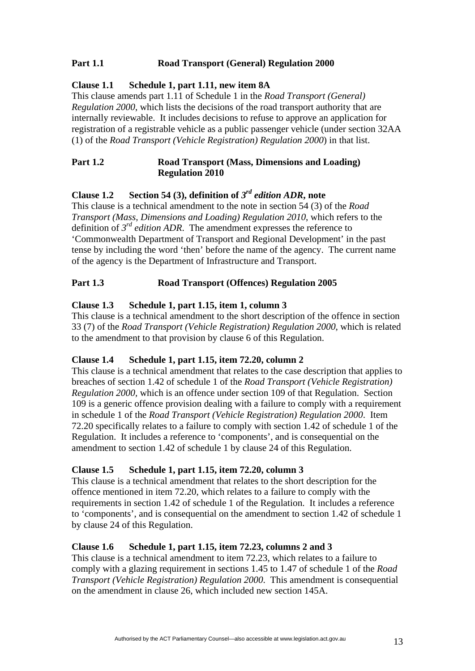# **Part 1.1 Road Transport (General) Regulation 2000**

## **Clause 1.1 Schedule 1, part 1.11, new item 8A**

This clause amends part 1.11 of Schedule 1 in the *Road Transport (General) Regulation 2000*, which lists the decisions of the road transport authority that are internally reviewable. It includes decisions to refuse to approve an application for registration of a registrable vehicle as a public passenger vehicle (under section 32AA (1) of the *Road Transport (Vehicle Registration) Regulation 2000*) in that list.

### Part 1.2 **Road Transport (Mass, Dimensions and Loading) Regulation 2010**

# **Clause 1.2 Section 54 (3), definition of** *3rd edition ADR***, note**

This clause is a technical amendment to the note in section 54 (3) of the *Road Transport (Mass, Dimensions and Loading) Regulation 2010*, which refers to the definition of  $3^{rd}$  *edition ADR*. The amendment expresses the reference to 'Commonwealth Department of Transport and Regional Development' in the past tense by including the word 'then' before the name of the agency. The current name of the agency is the Department of Infrastructure and Transport.

# **Part 1.3 Road Transport (Offences) Regulation 2005**

## **Clause 1.3 Schedule 1, part 1.15, item 1, column 3**

This clause is a technical amendment to the short description of the offence in section 33 (7) of the *Road Transport (Vehicle Registration) Regulation 2000*, which is related to the amendment to that provision by clause 6 of this Regulation.

### **Clause 1.4 Schedule 1, part 1.15, item 72.20, column 2**

This clause is a technical amendment that relates to the case description that applies to breaches of section 1.42 of schedule 1 of the *Road Transport (Vehicle Registration) Regulation 2000,* which is an offence under section 109 of that Regulation. Section 109 is a generic offence provision dealing with a failure to comply with a requirement in schedule 1 of the *Road Transport (Vehicle Registration) Regulation 2000*. Item 72.20 specifically relates to a failure to comply with section 1.42 of schedule 1 of the Regulation. It includes a reference to 'components', and is consequential on the amendment to section 1.42 of schedule 1 by clause 24 of this Regulation.

### **Clause 1.5 Schedule 1, part 1.15, item 72.20, column 3**

This clause is a technical amendment that relates to the short description for the offence mentioned in item 72.20, which relates to a failure to comply with the requirements in section 1.42 of schedule 1 of the Regulation. It includes a reference to 'components', and is consequential on the amendment to section 1.42 of schedule 1 by clause 24 of this Regulation.

### **Clause 1.6 Schedule 1, part 1.15, item 72.23, columns 2 and 3**

This clause is a technical amendment to item 72.23, which relates to a failure to comply with a glazing requirement in sections 1.45 to 1.47 of schedule 1 of the *Road Transport (Vehicle Registration) Regulation 2000*. This amendment is consequential on the amendment in clause 26, which included new section 145A.